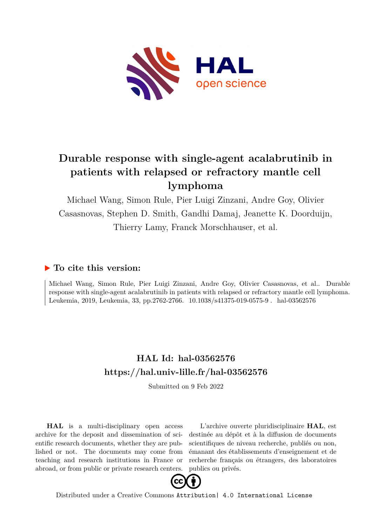

# **Durable response with single-agent acalabrutinib in patients with relapsed or refractory mantle cell lymphoma**

Michael Wang, Simon Rule, Pier Luigi Zinzani, Andre Goy, Olivier Casasnovas, Stephen D. Smith, Gandhi Damaj, Jeanette K. Doorduijn, Thierry Lamy, Franck Morschhauser, et al.

## **To cite this version:**

Michael Wang, Simon Rule, Pier Luigi Zinzani, Andre Goy, Olivier Casasnovas, et al.. Durable response with single-agent acalabrutinib in patients with relapsed or refractory mantle cell lymphoma. Leukemia, 2019, Leukemia, 33, pp.2762-2766. 10.1038/s41375-019-0575-9. hal-03562576

# **HAL Id: hal-03562576 <https://hal.univ-lille.fr/hal-03562576>**

Submitted on 9 Feb 2022

**HAL** is a multi-disciplinary open access archive for the deposit and dissemination of scientific research documents, whether they are published or not. The documents may come from teaching and research institutions in France or abroad, or from public or private research centers.

L'archive ouverte pluridisciplinaire **HAL**, est destinée au dépôt et à la diffusion de documents scientifiques de niveau recherche, publiés ou non, émanant des établissements d'enseignement et de recherche français ou étrangers, des laboratoires publics ou privés.



Distributed under a Creative Commons [Attribution| 4.0 International License](http://creativecommons.org/licenses/by/4.0/)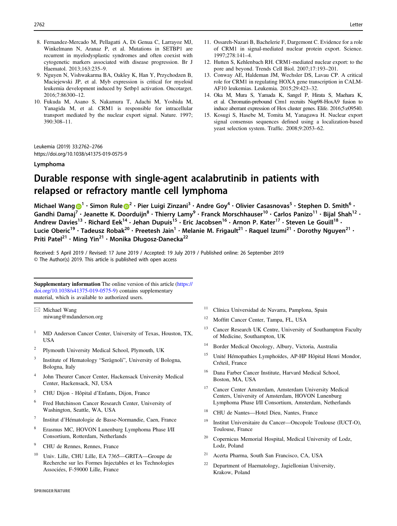- 8. Fernandez-Mercado M, Pellagatti A, Di Genua C, Larrayoz MJ, Winkelmann N, Aranaz P, et al. Mutations in SETBP1 are recurrent in myelodysplastic syndromes and often coexist with cytogenetic markers associated with disease progression. Br J Haematol. 2013;163:235–9.
- 9. Nguyen N, Vishwakarma BA, Oakley K, Han Y, Przychodzen B, Maciejewski JP, et al. Myb expression is critical for myeloid leukemia development induced by Setbp1 activation. Oncotarget. 2016;7:86300–12.
- 10. Fukuda M, Asano S, Nakamura T, Adachi M, Yoshida M, Yanagida M, et al. CRM1 is responsible for intracellular transport mediated by the nuclear export signal. Nature. 1997; 390:308–11.
- 11. Ossareh-Nazari B, Bachelerie F, Dargemont C. Evidence for a role of CRM1 in signal-mediated nuclear protein export. Science. 1997;278:141–4.
- 12. Hutten S, Kehlenbach RH. CRM1-mediated nuclear export: to the pore and beyond. Trends Cell Biol. 2007;17:193–201.
- 13. Conway AE, Haldeman JM, Wechsler DS, Lavau CP. A critical role for CRM1 in regulating HOXA gene transcription in CALM-AF10 leukemias. Leukemia. 2015;29:423–32.
- 14. Oka M, Mura S, Yamada K, Sangel P, Hirata S, Maehara K, et al. Chromatin-prebound Crm1 recruits Nup98-HoxA9 fusion to induce aberrant expression of Hox cluster genes. Elife. 2016;5:e09540.
- 15. Kosugi S, Hasebe M, Tomita M, Yanagawa H. Nuclear export signal consensus sequences defined using a localization-based yeast selection system. Traffic. 2008;9:2053–62.

Leukemia (2019) 33:2762–2766 https://doi.org/10.1038/s41375-019-0575-9

#### Lymphoma

## Durable response with single-agent acalabrutinib in patients with relapsed or refractory mantle cell lymphoma

Micha[e](http://orcid.org/0000-0001-8937-6351)l Wang  $\bigcirc^1 \cdot$  $\bigcirc^1 \cdot$  $\bigcirc^1 \cdot$  Simon Rule  $\bigcirc^2 \cdot$  $\bigcirc^2 \cdot$  $\bigcirc^2 \cdot$  Pier Luigi Zinzani $^3 \cdot$  Andre Goy $^4 \cdot$  Olivier Casasnovas $^5 \cdot$  Stephen D. Smith $^6 \cdot$ Gandhi Damaj<sup>[7](http://orcid.org/0000-0001-9748-5486)</sup> • Jeanette K. Doorduijn<sup>8</sup> • Thierry Lamy<sup>9</sup> • Franck Morschhauser<sup>10</sup> • Carlos Panizo<sup>11</sup> • Bijal Shah<sup>12</sup> • Andrew Davies<sup>13</sup> • Richard Eek<sup>14</sup> • Jehan Dupuis<sup>15</sup> • Eric Jacobsen<sup>16</sup> • Arnon P. Kater<sup>17</sup> • Steven Le Gouill<sup>18</sup> • Lucie Oberic<sup>19</sup> • Tadeusz Robak<sup>20</sup> • Preetesh Jain<sup>1</sup> • Melanie M. Frigault<sup>21</sup> • Raquel Izumi<sup>21</sup> • Dorothy Nguyen<sup>21</sup> • Priti Patel<sup>21</sup> · Ming Yin<sup>21</sup> · Monika Długosz-Danecka<sup>22</sup>

Received: 5 April 2019 / Revised: 17 June 2019 / Accepted: 19 July 2019 / Published online: 26 September 2019 © The Author(s) 2019. This article is published with open access

Supplementary information The online version of this article ([https://](https://doi.org/10.1038/s41375-019-0575-9) [doi.org/10.1038/s41375-019-0575-9\)](https://doi.org/10.1038/s41375-019-0575-9) contains supplementary material, which is available to authorized users.

 $\boxtimes$  Michael Wang [miwang@mdanderson.org](mailto:miwang@mdanderson.org)

- <sup>1</sup> MD Anderson Cancer Center, University of Texas, Houston, TX, USA
- <sup>2</sup> Plymouth University Medical School, Plymouth, UK
- Institute of Hematology "Seràgnoli", University of Bologna, Bologna, Italy
- <sup>4</sup> John Theurer Cancer Center, Hackensack University Medical Center, Hackensack, NJ, USA
- <sup>5</sup> CHU Dijon Hôpital d'Enfants, Dijon, France
- <sup>6</sup> Fred Hutchinson Cancer Research Center, University of Washington, Seattle, WA, USA
- <sup>7</sup> Institut d'Hématologie de Basse-Normandie, Caen, France
- <sup>8</sup> Erasmus MC, HOVON Lunenburg Lymphoma Phase I/II Consortium, Rotterdam, Netherlands
- <sup>9</sup> CHU de Rennes, Rennes, France
- <sup>10</sup> Univ. Lille, CHU Lille, EA 7365—GRITA—Groupe de Recherche sur les Formes Injectables et les Technologies Associées, F-59000 Lille, France
- <sup>11</sup> Clínica Universidad de Navarra, Pamplona, Spain
- <sup>12</sup> Moffitt Cancer Center, Tampa, FL, USA
- <sup>13</sup> Cancer Research UK Centre, University of Southampton Faculty of Medicine, Southampton, UK
- <sup>14</sup> Border Medical Oncology, Albury, Victoria, Australia
- <sup>15</sup> Unité Hémopathies Lymphoïdes, AP-HP Hôpital Henri Mondor, Créteil, France
- <sup>16</sup> Dana Farber Cancer Institute, Harvard Medical School, Boston, MA, USA
- <sup>17</sup> Cancer Center Amsterdam, Amsterdam University Medical Centers, University of Amsterdam, HOVON Lunenburg Lymphoma Phase I/II Consortium, Amsterdam, Netherlands
- <sup>18</sup> CHU de Nantes—Hotel Dieu, Nantes, France
- $19$  Institut Universitaire du Cancer—Oncopole Toulouse (IUCT-O), Toulouse, France
- <sup>20</sup> Copernicus Memorial Hospital, Medical University of Lodz, Lodz, Poland
- Acerta Pharma, South San Francisco, CA, USA
- Department of Haematology, Jagiellonian University, Krakow, Poland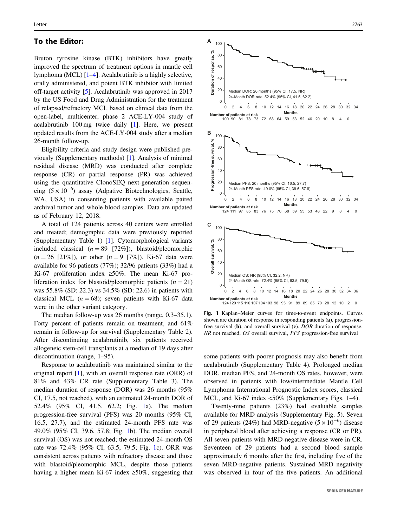### To the Editor:

Bruton tyrosine kinase (BTK) inhibitors have greatly improved the spectrum of treatment options in mantle cell lymphoma (MCL) [1–4]. Acalabrutinib is a highly selective, orally administered, and potent BTK inhibitor with limited off-target activity [5]. Acalabrutinib was approved in 2017 by the US Food and Drug Administration for the treatment of relapsed/refractory MCL based on clinical data from the open-label, multicenter, phase 2 ACE-LY-004 study of acalabrutinib 100 mg twice daily [1]. Here, we present updated results from the ACE-LY-004 study after a median 26-month follow-up.

Eligibility criteria and study design were published previously (Supplementary methods) [1]. Analysis of minimal residual disease (MRD) was conducted after complete response (CR) or partial response (PR) was achieved using the quantitative ClonoSEQ next-generation sequencing  $(5 \times 10^{-6})$  assay (Adpative Biotechnologies, Seattle, WA, USA) in consenting patients with available paired archival tumor and whole blood samples. Data are updated as of February 12, 2018.

A total of 124 patients across 40 centers were enrolled and treated; demographic data were previously reported (Supplementary Table 1) [1]. Cytomorphological variants included classical  $(n = 89 \t[72\%])$ , blastoid/pleomorphic  $(n = 26$  [21%]), or other  $(n = 9$  [7%]). Ki-67 data were available for 96 patients (77%); 32/96 patients (33%) had a Ki-67 proliferation index ≥50%. The mean Ki-67 proliferation index for blastoid/pleomorphic patients  $(n = 21)$ was 55.8% (SD: 22.3) vs 34.5% (SD: 22.6) in patients with classical MCL ( $n = 68$ ); seven patients with Ki-67 data were in the other variant category.

The median follow-up was 26 months (range, 0.3–35.1). Forty percent of patients remain on treatment, and 61% remain in follow-up for survival (Supplementary Table 2). After discontinuing acalabrutinib, six patients received allogeneic stem-cell transplants at a median of 19 days after discontinuation (range, 1–95).

Response to acalabrutinib was maintained similar to the original report [1], with an overall response rate (ORR) of 81% and 43% CR rate (Supplementary Table 3). The median duration of response (DOR) was 26 months (95% CI, 17.5, not reached), with an estimated 24-month DOR of 52.4% (95% CI, 41.5, 62.2; Fig. 1a). The median progression-free survival (PFS) was 20 months (95% CI, 16.5, 27.7), and the estimated 24-month PFS rate was 49.0% (95% CI, 39.6, 57.8; Fig. 1b). The median overall survival (OS) was not reached; the estimated 24-month OS rate was 72.4% (95% CI, 63.5, 79.5; Fig. 1c). ORR was consistent across patients with refractory disease and those with blastoid/pleomorphic MCL, despite those patients having a higher mean Ki-67 index  $\geq 50\%$ , suggesting that



Fig. 1 Kaplan–Meier curves for time-to-event endpoints. Curves shown are duration of response in responding patients (a), progressionfree survival (b), and overall survival (c). DOR duration of response, NR not reached, OS overall survival, PFS progression-free survival

some patients with poorer prognosis may also benefit from acalabrutinib (Supplementary Table 4). Prolonged median DOR, median PFS, and 24-month OS rates, however, were observed in patients with low/intermediate Mantle Cell Lymphoma International Prognostic Index scores, classical MCL, and Ki-67 index <50% (Supplementary Figs. 1–4).

Twenty-nine patients (23%) had evaluable samples available for MRD analysis (Supplementary Fig. 5). Seven of 29 patients (24%) had MRD-negative  $(5 \times 10^{-6})$  disease in peripheral blood after achieving a response (CR or PR). All seven patients with MRD-negative disease were in CR. Seventeen of 29 patients had a second blood sample approximately 6 months after the first, including five of the seven MRD-negative patients. Sustained MRD negativity was observed in four of the five patients. An additional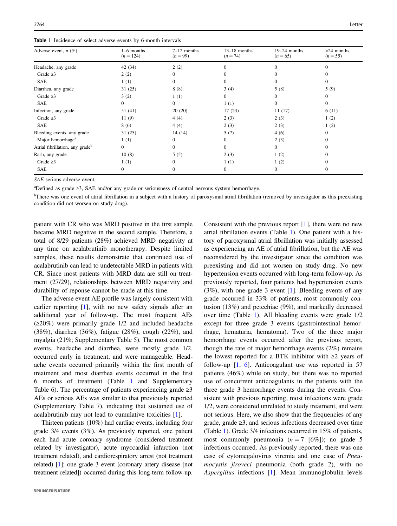|  |  | Table 1 Incidence of select adverse events by 6-month intervals |  |  |  |  |  |  |  |
|--|--|-----------------------------------------------------------------|--|--|--|--|--|--|--|
|--|--|-----------------------------------------------------------------|--|--|--|--|--|--|--|

| Adverse event, $n$ $(\%)$                   | 1–6 months<br>$(n = 124)$ | $7-12$ months<br>$(n = 99)$ | $13-18$ months<br>$(n=74)$ | $19-24$ months<br>$(n = 65)$ | $>24$ months<br>$(n = 55)$ |
|---------------------------------------------|---------------------------|-----------------------------|----------------------------|------------------------------|----------------------------|
| Headache, any grade                         | 42 (34)                   | 2(2)                        | 0                          |                              | $\Omega$                   |
| Grade $\geq$ 3                              | 2(2)                      | $\Omega$                    |                            |                              |                            |
| <b>SAE</b>                                  | 1(1)                      | $\Omega$                    | 0                          |                              | $\Omega$                   |
| Diarrhea, any grade                         | 31(25)                    | 8(8)                        | 3(4)                       | 5(8)                         | 5(9)                       |
| Grade $\geq$ 3                              | 3(2)                      | 1(1)                        | 0                          | 0                            | $\mathbf{0}$               |
| <b>SAE</b>                                  | $\overline{0}$            | $\Omega$                    | 1(1)                       | $\Omega$                     | $\Omega$                   |
| Infection, any grade                        | 51 (41)                   | 20(20)                      | 17(23)                     | 11(17)                       | 6(11)                      |
| Grade $\geq$ 3                              | 11(9)                     | 4(4)                        | 2(3)                       | 2(3)                         | 1(2)                       |
| <b>SAE</b>                                  | 8(6)                      | 4(4)                        | 2(3)                       | 2(3)                         | 1(2)                       |
| Bleeding events, any grade                  | 31(25)                    | 14(14)                      | 5(7)                       | 4(6)                         | 0                          |
| Major hemorrhage <sup>a</sup>               | 1(1)                      | $\Omega$                    | $\Omega$                   | 2(3)                         | $\Omega$                   |
| Atrial fibrillation, any grade <sup>b</sup> | $\overline{0}$            | $\Omega$                    | $\Omega$                   | $\Omega$                     |                            |
| Rash, any grade                             | 10(8)                     | 5(5)                        | 2(3)                       | 1(2)                         | $\Omega$                   |
| Grade $\geq$ 3                              | 1(1)                      | $\Omega$                    | 1(1)                       | 1(2)                         |                            |
| <b>SAE</b>                                  | $\overline{0}$            | $\Omega$                    | $\Omega$                   | $\Omega$                     | $\Omega$                   |

SAE serious adverse event.

<sup>a</sup>Defined as grade ≥3, SAE and/or any grade or seriousness of central nervous system hemorrhage.

<sup>b</sup>There was one event of atrial fibrillation in a subject with a history of paroxysmal atrial fibrillation (removed by investigator as this preexisting condition did not worsen on study drug).

patient with CR who was MRD positive in the first sample became MRD negative in the second sample. Therefore, a total of 8/29 patients (28%) achieved MRD negativity at any time on acalabrutinib monotherapy. Despite limited samples, these results demonstrate that continued use of acalabrutinib can lead to undetectable MRD in patients with CR. Since most patients with MRD data are still on treatment (27/29), relationships between MRD negativity and durability of reponse cannot be made at this time.

The adverse event AE profile was largely consistent with earlier reporting [1], with no new safety signals after an additional year of follow-up. The most frequent AEs (≥20%) were primarily grade 1/2 and included headache (38%), diarrhea (36%), fatigue (28%), cough (22%), and myalgia (21%; Supplementary Table 5). The most common events, headache and diarrhea, were mostly grade 1/2, occurred early in treatment, and were manageable. Headache events occurred primarily within the first month of treatment and most diarrhea events occurred in the first 6 months of treatment (Table 1 and Supplementary Table 6). The percentage of patients experiencing grade  $\geq 3$ AEs or serious AEs was similar to that previously reported (Supplementary Table 7), indicating that sustained use of acalabrutinib may not lead to cumulative toxicities [1].

Thirteen patients (10%) had cardiac events, including four grade 3/4 events (3%). As previously reported, one patient each had acute coronary syndrome (considered treatment related by investigator), acute myocardial infarction (not treatment related), and cardiorespiratory arrest (not treatment related) [1]; one grade 3 event (coronary artery disease [not treatment related]) occurred during this long-term follow-up. Consistent with the previous report [1], there were no new atrial fibrillation events (Table 1). One patient with a history of paroxysmal atrial fibrillation was initially assessed as experiencing an AE of atrial fibrillation, but the AE was reconsidered by the investigator since the condition was preexisting and did not worsen on study drug. No new hypertension events occurred with long-term follow-up. As previously reported, four patients had hypertension events (3%), with one grade 3 event [1]. Bleeding events of any grade occurred in 33% of patients, most commonly contusion (13%) and petechiae (9%), and markedly decreased over time (Table 1). All bleeding events were grade 1/2 except for three grade 3 events (gastrointestinal hemorrhage, hematuria, hematoma). Two of the three major hemorrhage events occurred after the previous report, though the rate of major hemorrhage events (2%) remains the lowest reported for a BTK inhibitor with  $\geq 2$  years of follow-up  $[1, 6]$ . Anticoagulant use was reported in 57 patients (46%) while on study, but there was no reported use of concurrent anticoagulants in the patients with the three grade 3 hemorrhage events during the events. Consistent with previous reporting, most infections were grade 1/2, were considered unrelated to study treatment, and were not serious. Here, we also show that the frequencies of any grade, grade ≥3, and serious infections decreased over time (Table 1). Grade 3/4 infections occurred in 15% of patients, most commonly pneumonia  $(n=7 \, 6\%)$ ; no grade 5 infections occurred. As previously reported, there was one case of cytomegalovirus viremia and one case of Pneumocystis jiroveci pneumonia (both grade 2), with no Aspergillus infections [1]. Mean immunoglobulin levels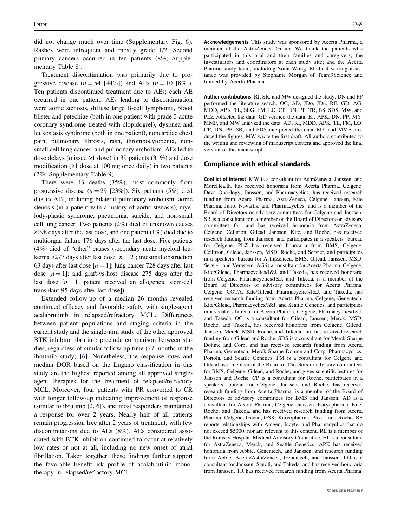did not change much over time (Supplementary Fig. 6). Rashes were infrequent and mostly grade 1/2. Second primary cancers occurred in ten patients (8%; Supplementary Table 8).

Treatment discontinuation was primarily due to progressive disease  $(n = 54 [44\%])$  and AEs  $(n = 10 [8\%])$ . Ten patients discontinued treatment due to AEs; each AE occurred in one patient. AEs leading to discontinuation were aortic stenosis, diffuse large B-cell lymphoma, blood blister and petechiae (both in one patient with grade 3 acute coronary syndrome treated with clopidogrel), dyspnea and leukostasis syndrome (both in one patient), noncardiac chest pain, pulmonary fibrosis, rash, thrombocytopenia, nonsmall cell lung cancer, and pulmonary embolism. AEs led to dose delays (missed  $\geq 1$  dose) in 39 patients (31%) and dose modification (≥1 dose at 100 mg once daily) in two patients (2%; Supplementary Table 9).

There were 43 deaths (35%), most commonly from progressive disease  $(n = 29 \text{ } [23\%])$ . Six patients (5%) died due to AEs, including bilateral pulmonary embolism, aortic stenosis (in a patient with a history of aortic stenosis), myelodysplastic syndrome, pneumonia, suicide, and non-small cell lung cancer. Two patients (2%) died of unknown causes ≥198 days after the last dose, and one patient (1%) died due to multiorgan failure 176 days after the last dose. Five patients (4%) died of "other" causes (secondary acute myeloid leukemia ≥277 days after last dose  $[n = 2]$ ; intestinal obstruction 63 days after last dose  $[n = 1]$ ; lung cancer 728 days after last dose  $[n = 1]$ ; and graft-vs-host disease 275 days after the last dose  $[n = 1;$  patient received an allogeneic stem-cell transplant 95 days after last dose]).

Extended follow-up of a median 26 months revealed continued efficacy and favorable safety with single-agent acalabrutinib in relapsed/refractory MCL. Differences between patient populations and staging criteria in the current study and the single-arm study of the other approved BTK inhibitor ibrutinib preclude comparison between studies, regardless of similar follow-up time (27 months in the ibrutinib study) [6]. Nonetheless, the response rates and median DOR based on the Lugano classification in this study are the highest reported among all approved singleagent therapies for the treatment of relapsed/refractory MCL. Moreover, four patients with PR converted to CR with longer follow-up indicating improvement of response (similar to ibrutinib  $[2, 6]$ ), and most responders maintained a response for over 2 years. Nearly half of all patients remain progression free after 2 years of treatment, with few discontinuations due to AEs (8%). AEs considered associated with BTK inhibition continued to occur at relatively low rates or not at all, including no new onset of atrial fibrillation. Taken together, these findings further support the favorable benefit-risk profile of acalabrutinib monotherapy in relapsed/refractory MCL.

Acknowledgements This study was sponsored by Acerta Pharma, a member of the AstraZeneca Group. We thank the patients who participated in this trial and their families and caregivers; the investigators and coordinators at each study site; and the Acerta Pharma study team, including Sofia Wong. Medical writing assistance was provided by Stephanie Morgan of Team9Science and funded by Acerta Pharma.

Author contributions RI, SR, and MW designed the study. DN and PP performed the literature search. OC, AD, JDo, JDu, RE, GD, AG, MDD, APK, TL, SLG, FM, LO, CP, DN, PP, TR, BS, SDS, MW, and PLZ collected the data. GD verified the data. EJ, APK, DN, PP, MY, MMF, and MW analyzed the data. AD, RI, MDD, APK, TL, FM, LO, CP, DN, PP, SR, and SDS interpreted the data. MY and MMF produced the figures. MW wrote the first draft. All authors contributed to the writing and reviewing of manuscript content and approved the final version of the manuscript.

#### Compliance with ethical standards

Conflict of interest MW is a consultant for AstraZeneca, Janssen, and MoreHealth, has received honoraria from Acerta Pharma, Celgene, Dava Oncology, Janssen, and Pharmacyclics, has received research funding from Acerta Pharma, AstraZeneca, Celgene, Janssen, Kite Pharma, Juno, Novartis, and Pharmacyclics, and is a member of the Board of Directors or advisory committees for Celgene and Janssen. SR is a consultant for, a member of the Board of Directors or advisory committees for, and has received honoraria from AstraZeneca, Celgene, Celltrion, Gilead, Janssen, Kite, and Roche, has received research funding from Janssen, and participates in a speakers' bureau for Celgene. PLZ has received honoraria from BMS, Celgene, Celltrion, Gilead, Janssen, MSD, Roche, and Servier, and participates in a speakers' bureau for AstraZeneca, BMS, Gilead, Janssen, MSD, Servier, and Verastem. AG is a consultant for Acerta Pharma, Celgene, Kite/Gilead, Pharmacyclics/J&J, and Takeda, has received honoraria from Celgene, Pharmacyclics/J&J, and Takeda, is a member of the Board of Directors or advisory committees for Acerta Pharma, Celgene, COTA, Kite/Gilead, Pharmacyclics/J&J, and Takeda, has received research funding from Acerta Pharma, Celgene, Genentech, Kite/Gilead, Pharmacyclics/J&J, and Seattle Genetics, and participates in a speakers bureau for Acerta Pharma, Celgene, Pharmacyclics/J&J, and Takeda. OC is a consultant for Gilead, Janssen, Merck, MSD, Roche, and Takeda, has received honoraria from Celgene, Gilead, Janssen, Merck, MSD, Roche, and Takeda, and has received research funding from Gilead and Roche. SDS is a consultant for Merck Sharpe Dohme and Corp, and has received research funding from Acerta Pharma, Genentech, Merck Sharpe Dohme and Corp, Pharmacyclics, Portola, and Seattle Genetics. FM is a consultant for Celgene and Gilead, is a member of the Board of Directors or advisory committees for BMS, Celgene, Gilead, and Roche, and gives scientific lectures for Janssen and Roche. CP is a consultant for Roche, participates in a speakers' bureau for Celgene, Janssen, and Roche, has received research funding from Acerta Pharma, is a member of the Board of Directors or advisory committees for BMS and Janssen. AD is a consultant for Acerta Pharma, Celgene, Janssen, Karyopharma, Kite, Roche, and Takeda, and has received research funding from Acerta Pharma, Celgene, Gilead, GSK, Karyopharma, Pfizer, and Roche. BS reports relationships with Amgen, Incyte, and Pharmacyclics that do not exceed \$5000, nor are relevant to this content. RE is a member of the Ramsay Hospital Medical Advisory Committee. EJ is a consultant for AstraZeneca, Merck, and Seattle Genetics. APK has received honoraria from Abbie, Genentech, and Janssen, and research funding from Abbie, Acerta/AstraZeneca, Genentech, and Janssen. LO is a consultant for Janssen, Sanofi, and Takeda, and has received honoraria from Janssen. TR has received research funding from Acerta Pharma.